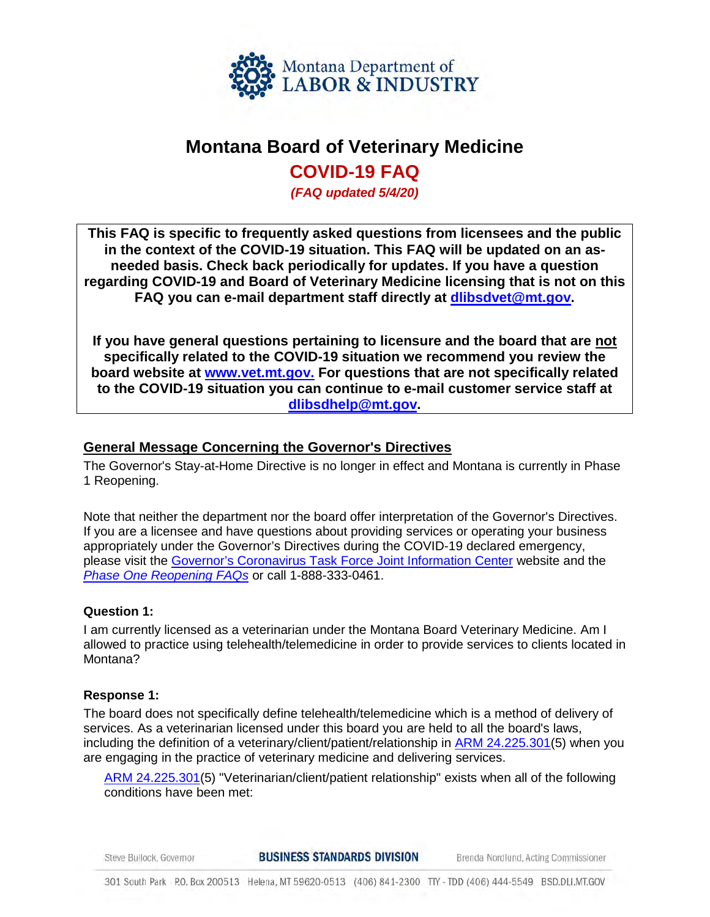

# **Montana Board of Veterinary Medicine**

# **COVID-19 FAQ**

*(FAQ updated 5/4/20)* 

**This FAQ is specific to frequently asked questions from licensees and the public in the context of the COVID-19 situation. This FAQ will be updated on an asneeded basis. Check back periodically for updates. If you have a question regarding COVID-19 and Board of Veterinary Medicine licensing that is not on this FAQ you can e-mail department staff directly at [dlibsdvet@mt.gov.](mailto:dlibsdvet@mt.gov)** 

**If you have general questions pertaining to licensure and the board that are not specifically related to the COVID-19 situation we recommend you review the board website at [www.vet.mt.gov.](http://www.vet.mt.gov/) For questions that are not specifically related to the COVID-19 situation you can continue to e-mail customer service staff at [dlibsdhelp@mt.gov.](mailto:dlibsdhelp@mt.gov)** 

## **General Message Concerning the Governor's Directives**

The Governor's Stay-at-Home Directive is no longer in effect and Montana is currently in Phase 1 Reopening.

Note that neither the department nor the board offer interpretation of the Governor's Directives. If you are a licensee and have questions about providing services or operating your business appropriately under the Governor's Directives during the COVID-19 declared emergency, please visit the [Governor's Coronavirus Task Force Joint Information Center](https://covid19.mt.gov/joint-information-center) website and the *[Phase One Reopening FAQs](https://covid19.mt.gov/Portals/223/Documents/FAQ%20Phase%201%20Reopen%20MT%20-%20V1%20approved.pdf?ver=2020-04-29-075649-290)* or call 1-888-333-0461.

#### **Question 1:**

I am currently licensed as a veterinarian under the Montana Board Veterinary Medicine. Am I allowed to practice using telehealth/telemedicine in order to provide services to clients located in Montana?

#### **Response 1:**

The board does not specifically define telehealth/telemedicine which is a method of delivery of services. As a veterinarian licensed under this board you are held to all the board's laws, including the definition of a veterinary/client/patient/relationship in [ARM 24.225.301\(](http://mtrules.org/gateway/RuleNo.asp?RN=24%2E225%2E301)5) when you are engaging in the practice of veterinary medicine and delivering services.

[ARM 24.225.301\(](http://mtrules.org/gateway/RuleNo.asp?RN=24%2E225%2E301)5) "Veterinarian/client/patient relationship" exists when all of the following conditions have been met:

**BUSINESS STANDARDS DIVISION** Steve Bullock, Governor Brenda Nordlund, Acting Commissioner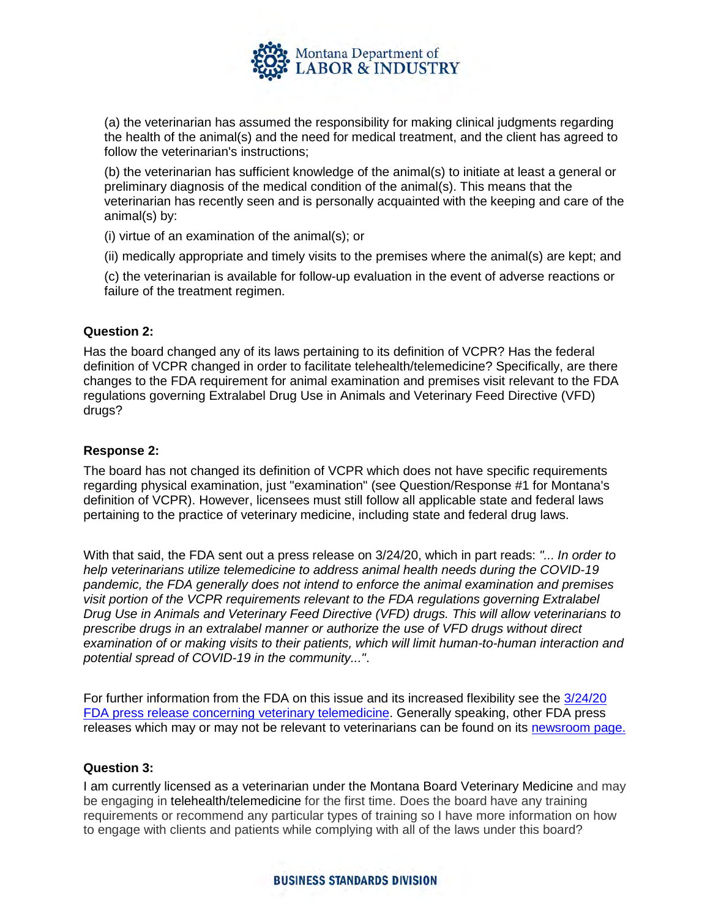

(a) the veterinarian has assumed the responsibility for making clinical judgments regarding the health of the animal(s) and the need for medical treatment, and the client has agreed to follow the veterinarian's instructions;

(b) the veterinarian has sufficient knowledge of the animal(s) to initiate at least a general or preliminary diagnosis of the medical condition of the animal(s). This means that the veterinarian has recently seen and is personally acquainted with the keeping and care of the animal(s) by:

(i) virtue of an examination of the animal(s); or

(ii) medically appropriate and timely visits to the premises where the animal(s) are kept; and

(c) the veterinarian is available for follow-up evaluation in the event of adverse reactions or failure of the treatment regimen.

## **Question 2:**

Has the board changed any of its laws pertaining to its definition of VCPR? Has the federal definition of VCPR changed in order to facilitate telehealth/telemedicine? Specifically, are there changes to the FDA requirement for animal examination and premises visit relevant to the FDA regulations governing Extralabel Drug Use in Animals and Veterinary Feed Directive (VFD) drugs?

#### **Response 2:**

The board has not changed its definition of VCPR which does not have specific requirements regarding physical examination, just "examination" (see Question/Response #1 for Montana's definition of VCPR). However, licensees must still follow all applicable state and federal laws pertaining to the practice of veterinary medicine, including state and federal drug laws.

With that said, the FDA sent out a press release on 3/24/20, which in part reads: *"... In order to help veterinarians utilize telemedicine to address animal health needs during the COVID-19 pandemic, the FDA generally does not intend to enforce the animal examination and premises visit portion of the VCPR requirements relevant to the FDA regulations governing Extralabel Drug Use in Animals and Veterinary Feed Directive (VFD) drugs. This will allow veterinarians to prescribe drugs in an extralabel manner or authorize the use of VFD drugs without direct examination of or making visits to their patients, which will limit human-to-human interaction and potential spread of COVID-19 in the community..."*.

For further information from the FDA on this issue and its increased flexibility see the [3/24/20](https://www.fda.gov/news-events/press-announcements/coronavirus-covid-19-update-fda-helps-facilitate-veterinary-telemedicine-during-pandemic) FDA [press release concerning veterinary telemedicine.](https://www.fda.gov/news-events/press-announcements/coronavirus-covid-19-update-fda-helps-facilitate-veterinary-telemedicine-during-pandemic) Generally speaking, other FDA press releases which may or may not be relevant to veterinarians can be found on its [newsroom page.](https://www.fda.gov/news-events/fda-newsroom/press-announcements)

#### **Question 3:**

I am currently licensed as a veterinarian under the Montana Board Veterinary Medicine and may be engaging in telehealth/telemedicine for the first time. Does the board have any training requirements or recommend any particular types of training so I have more information on how to engage with clients and patients while complying with all of the laws under this board?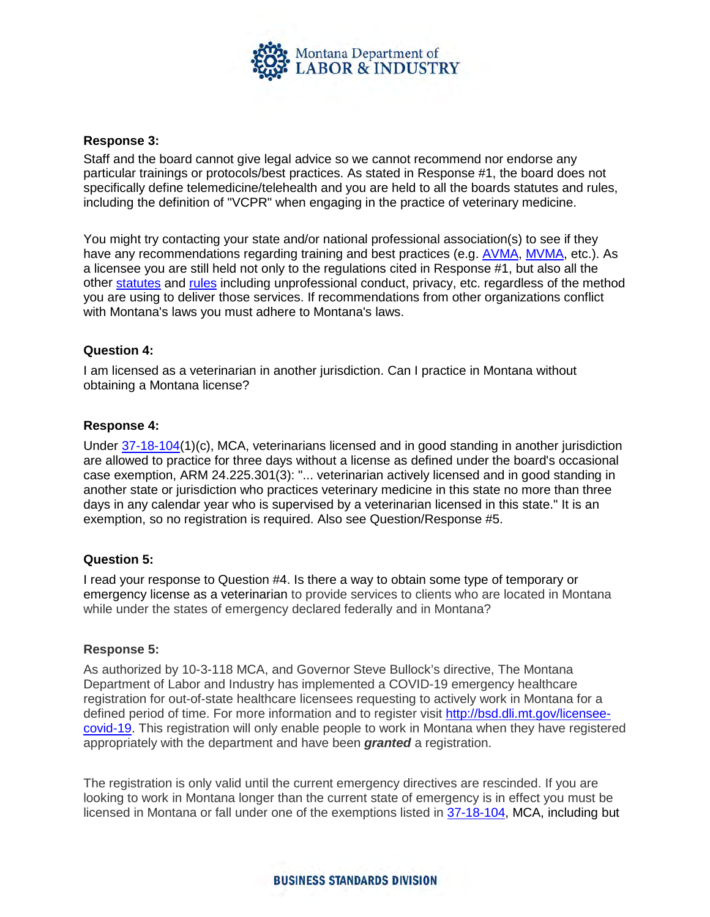

#### **Response 3:**

Staff and the board cannot give legal advice so we cannot recommend nor endorse any particular trainings or protocols/best practices. As stated in Response #1, the board does not specifically define telemedicine/telehealth and you are held to all the boards statutes and rules, including the definition of "VCPR" when engaging in the practice of veterinary medicine.

You might try contacting your state and/or national professional association(s) to see if they have any recommendations regarding training and best practices (e.g. [AVMA,](https://www.avma.org/resources-tools/animal-health-and-welfare/covid-19?utm_source=email-mem&utm_medium=coronavirus200315&utm_campaign=coronavirus&utm_term=link&utm_content=covid-19-webpage) [MVMA,](https://www.mtvma.org/) etc.). As a licensee you are still held not only to the regulations cited in Response #1, but also all the other [statutes](http://boards.bsd.dli.mt.gov/vet#8?2) and [rules](http://boards.bsd.dli.mt.gov/vet#8?1) including unprofessional conduct, privacy, etc. regardless of the method you are using to deliver those services. If recommendations from other organizations conflict with Montana's laws you must adhere to Montana's laws.

## **Question 4:**

I am licensed as a veterinarian in another jurisdiction. Can I practice in Montana without obtaining a Montana license?

#### **Response 4:**

Under [37-18-104\(](https://leg.mt.gov/bills/mca/title_0370/chapter_0180/part_0010/section_0040/0370-0180-0010-0040.html)1)(c), MCA, veterinarians licensed and in good standing in another jurisdiction are allowed to practice for three days without a license as defined under the board's occasional case exemption, ARM 24.225.301(3): "... veterinarian actively licensed and in good standing in another state or jurisdiction who practices veterinary medicine in this state no more than three days in any calendar year who is supervised by a veterinarian licensed in this state." It is an exemption, so no registration is required. Also see Question/Response #5.

#### **Question 5:**

I read your response to Question #4. Is there a way to obtain some type of temporary or emergency license as a veterinarian to provide services to clients who are located in Montana while under the states of emergency declared federally and in Montana?

#### **Response 5:**

As authorized by 10-3-118 MCA, and Governor Steve Bullock's directive, The Montana Department of Labor and Industry has implemented a COVID-19 emergency healthcare registration for out-of-state healthcare licensees requesting to actively work in Montana for a defined period of time. For more information and to register visit [http://bsd.dli.mt.gov/licensee](http://bsd.dli.mt.gov/licensee-covid-19)[covid-19.](http://bsd.dli.mt.gov/licensee-covid-19) This registration will only enable people to work in Montana when they have registered appropriately with the department and have been *granted* a registration.

The registration is only valid until the current emergency directives are rescinded. If you are looking to work in Montana longer than the current state of emergency is in effect you must be licensed in Montana or fall under one of the exemptions listed in [37-18-104,](https://leg.mt.gov/bills/mca/title_0370/chapter_0180/part_0010/section_0040/0370-0180-0010-0040.html) MCA, including but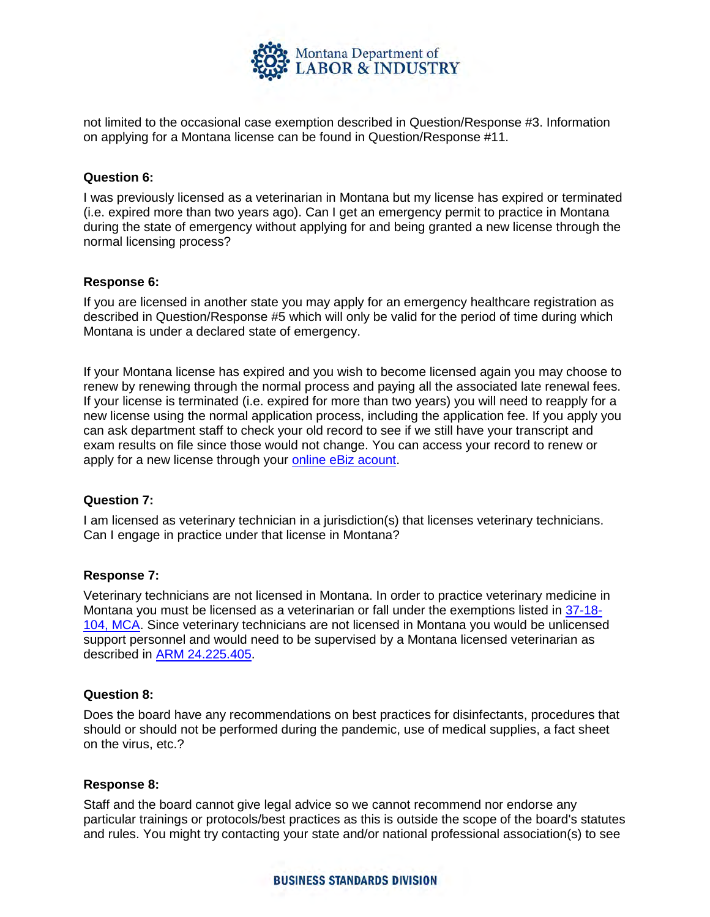

not limited to the occasional case exemption described in Question/Response #3. Information on applying for a Montana license can be found in Question/Response #11.

#### **Question 6:**

I was previously licensed as a veterinarian in Montana but my license has expired or terminated (i.e. expired more than two years ago). Can I get an emergency permit to practice in Montana during the state of emergency without applying for and being granted a new license through the normal licensing process?

## **Response 6:**

If you are licensed in another state you may apply for an emergency healthcare registration as described in Question/Response #5 which will only be valid for the period of time during which Montana is under a declared state of emergency.

If your Montana license has expired and you wish to become licensed again you may choose to renew by renewing through the normal process and paying all the associated late renewal fees. If your license is terminated (i.e. expired for more than two years) you will need to reapply for a new license using the normal application process, including the application fee. If you apply you can ask department staff to check your old record to see if we still have your transcript and exam results on file since those would not change. You can access your record to renew or apply for a new license through your [online eBiz](https://ebiz.mt.gov/POL/Default.aspx?pk_vid=6245a1cd2f8879961588627883a60a89) acount.

#### **Question 7:**

I am licensed as veterinary technician in a jurisdiction(s) that licenses veterinary technicians. Can I engage in practice under that license in Montana?

#### **Response 7:**

Veterinary technicians are not licensed in Montana. In order to practice veterinary medicine in Montana you must be licensed as a veterinarian or fall under the exemptions listed in [37-18-](https://leg.mt.gov/bills/mca/title_0370/chapter_0180/part_0010/section_0040/0370-0180-0010-0040.html) [104, MCA.](https://leg.mt.gov/bills/mca/title_0370/chapter_0180/part_0010/section_0040/0370-0180-0010-0040.html) Since veterinary technicians are not licensed in Montana you would be unlicensed support personnel and would need to be supervised by a Montana licensed veterinarian as described in [ARM 24.225.405.](http://mtrules.org/gateway/RuleNo.asp?RN=24%2E225%2E405)

#### **Question 8:**

Does the board have any recommendations on best practices for disinfectants, procedures that should or should not be performed during the pandemic, use of medical supplies, a fact sheet on the virus, etc.?

#### **Response 8:**

Staff and the board cannot give legal advice so we cannot recommend nor endorse any particular trainings or protocols/best practices as this is outside the scope of the board's statutes and rules. You might try contacting your state and/or national professional association(s) to see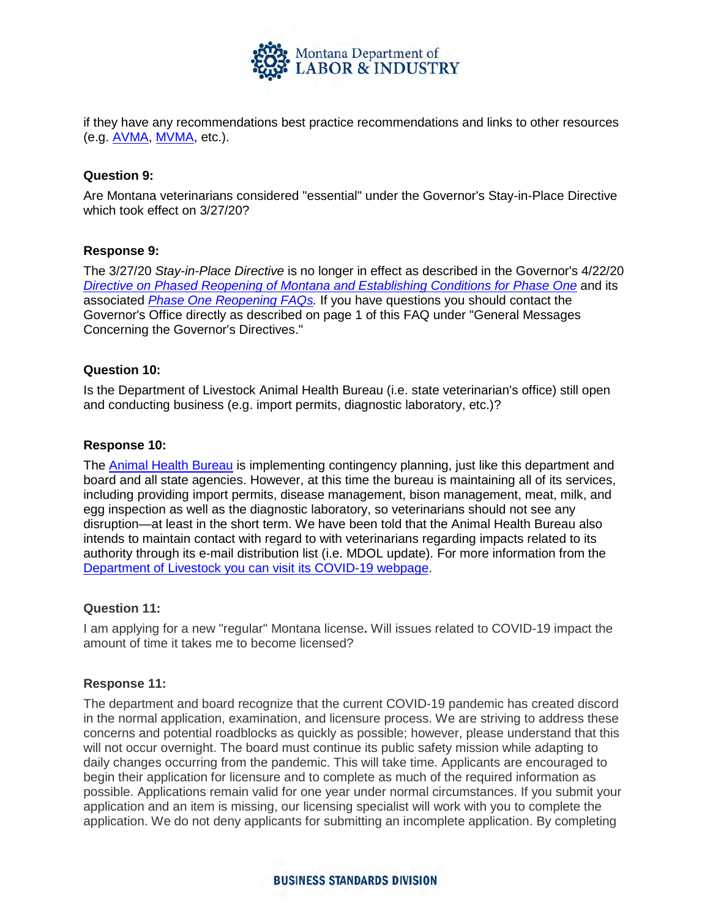

if they have any recommendations best practice recommendations and links to other resources (e.g. [AVMA,](https://www.avma.org/resources-tools/animal-health-and-welfare/covid-19?utm_source=email-mem&utm_medium=coronavirus200315&utm_campaign=coronavirus&utm_term=link&utm_content=covid-19-webpage) [MVMA,](https://www.mtvma.org/) etc.).

#### **Question 9:**

Are Montana veterinarians considered "essential" under the Governor's Stay-in-Place Directive which took effect on 3/27/20?

## **Response 9:**

The 3/27/20 *Stay-in-Place Directive* is no longer in effect as described in the Governor's 4/22/20 *Directive on Phased Reopening of Montana and Establishing [Conditions for](https://covid19.mt.gov/Portals/223/Documents/04-22-20%20Directive%20and%20Appx%20-%20Reopening%20Phase%20One.pdf?ver=2020-04-22-124954-977) Phase One* and its associated *[Phase One Reopening FAQs.](https://covid19.mt.gov/Portals/223/Documents/FAQ%20Phase%201%20Reopen%20MT%20-%20V1%20approved.pdf?ver=2020-04-29-075649-290)* If you have questions you should contact the Governor's Office directly as described on page 1 of this FAQ under "General Messages Concerning the Governor's Directives."

## **Question 10:**

Is the Department of Livestock Animal Health Bureau (i.e. state veterinarian's office) still open and conducting business (e.g. import permits, diagnostic laboratory, etc.)?

#### **Response 10:**

The [Animal Health Bureau](https://liv.mt.gov/Animal-Health) is implementing contingency planning, just like this department and board and all state agencies. However, at this time the bureau is maintaining all of its services, including providing import permits, disease management, bison management, meat, milk, and egg inspection as well as the diagnostic laboratory, so veterinarians should not see any disruption—at least in the short term. We have been told that the Animal Health Bureau also intends to maintain contact with regard to with veterinarians regarding impacts related to its authority through its e-mail distribution list (i.e. MDOL update). For more information from the [Department of Livestock you can visit](https://news.mt.gov/category/department-of-livestock) its COVID-19 webpage.

#### **Question 11:**

I am applying for a new "regular" Montana license**.** Will issues related to COVID-19 impact the amount of time it takes me to become licensed?

#### **Response 11:**

The department and board recognize that the current COVID-19 pandemic has created discord in the normal application, examination, and licensure process. We are striving to address these concerns and potential roadblocks as quickly as possible; however, please understand that this will not occur overnight. The board must continue its public safety mission while adapting to daily changes occurring from the pandemic. This will take time. Applicants are encouraged to begin their application for licensure and to complete as much of the required information as possible. Applications remain valid for one year under normal circumstances. If you submit your application and an item is missing, our licensing specialist will work with you to complete the application. We do not deny applicants for submitting an incomplete application. By completing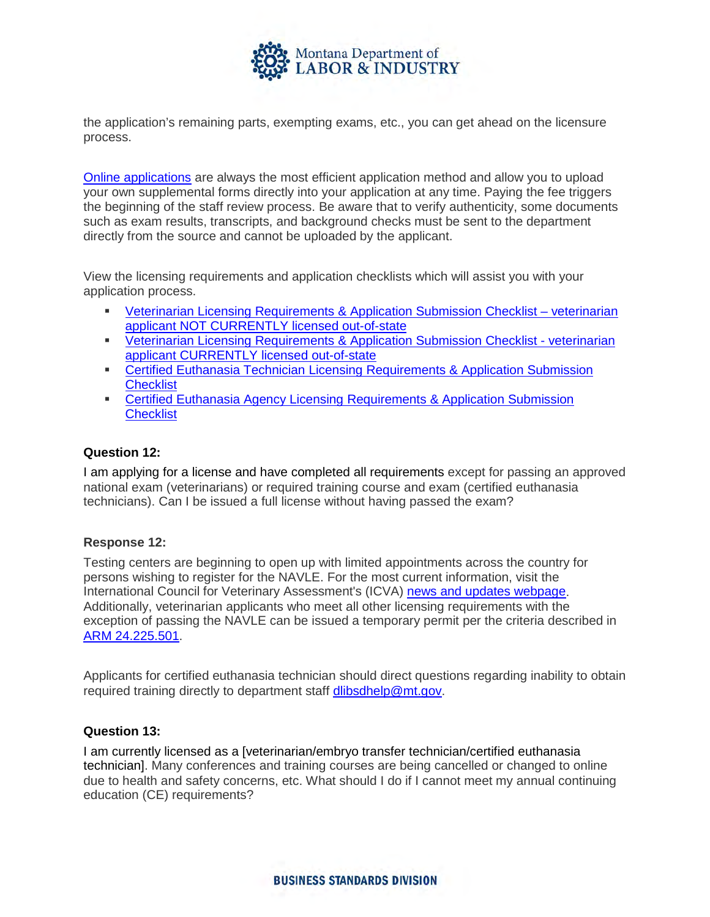

the application's remaining parts, exempting exams, etc., you can get ahead on the licensure process.

[Online applications](https://ebiz.mt.gov/pol/Default.aspx?pk_vid=ae2b01074ccdd0051585341609e8c24f) are always the most efficient application method and allow you to upload your own supplemental forms directly into your application at any time. Paying the fee triggers the beginning of the staff review process. Be aware that to verify authenticity, some documents such as exam results, transcripts, and background checks must be sent to the department directly from the source and cannot be uploaded by the applicant.

View the licensing requirements and application checklists which will assist you with your application process.

- Veterinarian Licensing [Requirements & Application](http://boards.bsd.dli.mt.gov/Portals/133/Documents/vet/VET-VET-APP_License-App-Checklist.pdf?ver=2018-06-15-122230-960) Submission Checklist veterinarian [applicant NOT CURRENTLY licensed out-of-state](http://boards.bsd.dli.mt.gov/Portals/133/Documents/vet/VET-VET-APP_License-App-Checklist.pdf?ver=2018-06-15-122230-960)
- Veterinarian Licensing [Requirements & Application](http://boards.bsd.dli.mt.gov/Portals/133/Documents/vet/VET-VET-APP_License-App-Checklist_37-1-304.pdf?ver=2018-06-15-122220-113) Submission Checklist veterinarian [applicant CURRENTLY licensed out-of-state](http://boards.bsd.dli.mt.gov/Portals/133/Documents/vet/VET-VET-APP_License-App-Checklist_37-1-304.pdf?ver=2018-06-15-122220-113)
- **EXECTED EUTHANASES TECHNICIAN LICENSING Requirements & Application Submission [Checklist](http://boards.bsd.dli.mt.gov/Portals/133/Documents/vet/VET-CET-APP_License-App-Checklist.pdf?ver=2018-06-15-122234-960)**
- [Certified Euthanasia Agency Licensing](http://boards.bsd.dli.mt.gov/Portals/133/Documents/vet/VET-CEA-APP_License-App-Checklist.pdf?ver=2018-06-15-122227-647) Requirements & Application Submission **[Checklist](http://boards.bsd.dli.mt.gov/Portals/133/Documents/vet/VET-CEA-APP_License-App-Checklist.pdf?ver=2018-06-15-122227-647)**

## **Question 12:**

I am applying for a license and have completed all requirements except for passing an approved national exam (veterinarians) or required training course and exam (certified euthanasia technicians). Can I be issued a full license without having passed the exam?

## **Response 12:**

Testing centers are beginning to open up with limited appointments across the country for persons wishing to register for the NAVLE. For the most current information, visit the International Council for Veterinary Assessment's (ICVA) news and [updates webpage.](https://www.icva.net/news-and-updates/navle-april-2020-update-as-of-3-27-20-322pm/) Additionally, veterinarian applicants who meet all other licensing requirements with the exception of passing the NAVLE can be issued a temporary permit per the criteria described in [ARM 24.225.501.](http://mtrules.org/gateway/RuleNo.asp?RN=24%2E225%2E501)

Applicants for certified euthanasia technician should direct questions regarding inability to obtain required training directly to department staff [dlibsdhelp@mt.gov.](mailto:dlibsdhelp@mt.gov)

#### **Question 13:**

I am currently licensed as a [veterinarian/embryo transfer technician/certified euthanasia technician]. Many conferences and training courses are being cancelled or changed to online due to health and safety concerns, etc. What should I do if I cannot meet my annual continuing education (CE) requirements?